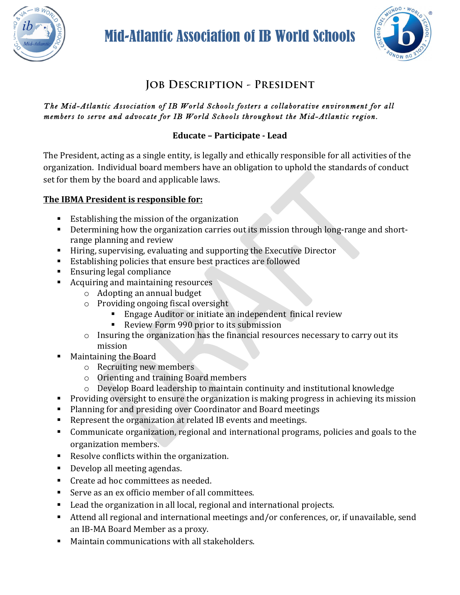

# Mid-Atlantic Association of IB World Schools



# **Job Description - President**

#### *The Mid-Atlantic Association of IB World Schools fosters a collaborative environment for all members to serve and advocate for IB World Schools throughout the Mid-Atlantic region.*

#### **Educate – Participate - Lead**

The President, acting as a single entity, is legally and ethically responsible for all activities of the organization. Individual board members have an obligation to uphold the standards of conduct set for them by the board and applicable laws.

#### The IBMA President is responsible for:

- Establishing the mission of the organization
- **•** Determining how the organization carries out its mission through long-range and shortrange planning and review
- Hiring, supervising, evaluating and supporting the Executive Director
- Establishing policies that ensure best practices are followed
- Ensuring legal compliance
- Acquiring and maintaining resources
	- $\circ$  Adopting an annual budget
	- $\circ$  Providing ongoing fiscal oversight
		- Engage Auditor or initiate an independent finical review
		- Review Form 990 prior to its submission
	- $\circ$  Insuring the organization has the financial resources necessary to carry out its mission
- Maintaining the Board
	- $\circ$  Recruiting new members
	- $\circ$  Orienting and training Board members
	- $\circ$  Develop Board leadership to maintain continuity and institutional knowledge
- Providing oversight to ensure the organization is making progress in achieving its mission
- Planning for and presiding over Coordinator and Board meetings
- Represent the organization at related IB events and meetings.
- Communicate organization, regional and international programs, policies and goals to the organization members.
- Resolve conflicts within the organization.
- Develop all meeting agendas.
- Create ad hoc committees as needed.
- Serve as an ex officio member of all committees.
- $\blacksquare$  Lead the organization in all local, regional and international projects.
- Attend all regional and international meetings and/or conferences, or, if unavailable, send an IB-MA Board Member as a proxy.
- Maintain communications with all stakeholders.